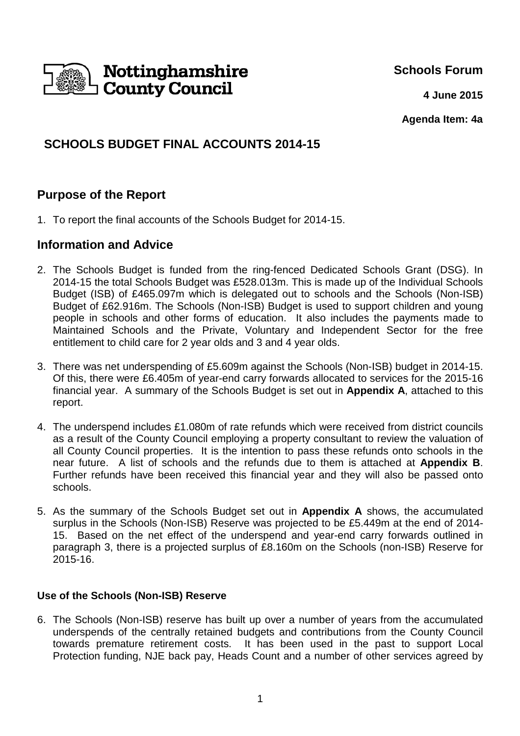

**Schools Forum**

**4 June 2015**

**Agenda Item: 4a**

# **SCHOOLS BUDGET FINAL ACCOUNTS 2014-15**

## **Purpose of the Report**

1. To report the final accounts of the Schools Budget for 2014-15.

### **Information and Advice**

- 2. The Schools Budget is funded from the ring-fenced Dedicated Schools Grant (DSG). In 2014-15 the total Schools Budget was £528.013m. This is made up of the Individual Schools Budget (ISB) of £465.097m which is delegated out to schools and the Schools (Non-ISB) Budget of £62.916m. The Schools (Non-ISB) Budget is used to support children and young people in schools and other forms of education. It also includes the payments made to Maintained Schools and the Private, Voluntary and Independent Sector for the free entitlement to child care for 2 year olds and 3 and 4 year olds.
- 3. There was net underspending of £5.609m against the Schools (Non-ISB) budget in 2014-15. Of this, there were £6.405m of year-end carry forwards allocated to services for the 2015-16 financial year. A summary of the Schools Budget is set out in **Appendix A**, attached to this report.
- 4. The underspend includes £1.080m of rate refunds which were received from district councils as a result of the County Council employing a property consultant to review the valuation of all County Council properties. It is the intention to pass these refunds onto schools in the near future. A list of schools and the refunds due to them is attached at **Appendix B**. Further refunds have been received this financial year and they will also be passed onto schools.
- 5. As the summary of the Schools Budget set out in **Appendix A** shows, the accumulated surplus in the Schools (Non-ISB) Reserve was projected to be £5.449m at the end of 2014- 15. Based on the net effect of the underspend and year-end carry forwards outlined in paragraph 3, there is a projected surplus of £8.160m on the Schools (non-ISB) Reserve for 2015-16.

### **Use of the Schools (Non-ISB) Reserve**

6. The Schools (Non-ISB) reserve has built up over a number of years from the accumulated underspends of the centrally retained budgets and contributions from the County Council towards premature retirement costs. It has been used in the past to support Local Protection funding, NJE back pay, Heads Count and a number of other services agreed by